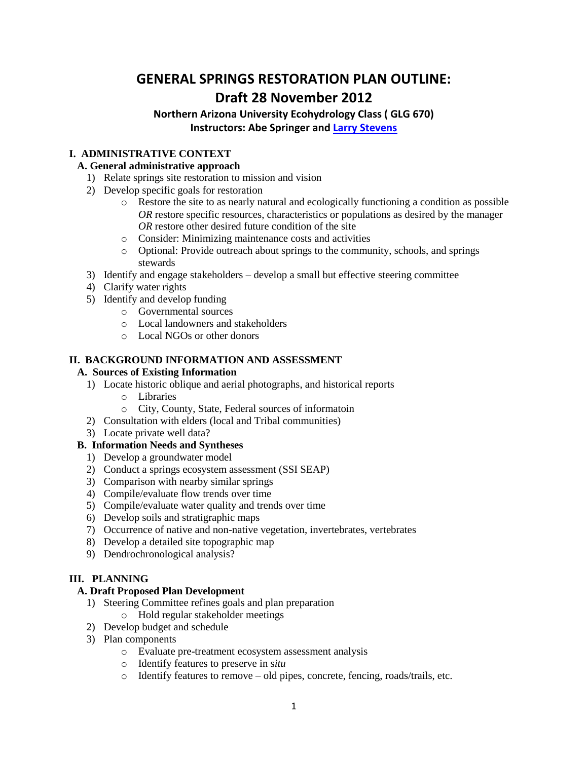# **GENERAL SPRINGS RESTORATION PLAN OUTLINE: Draft 28 November 2012**

# **Northern Arizona University Ecohydrology Class ( GLG 670) Instructors: Abe Springer and Larry [Stevens](mailto:larry@springstewardship.org)**

# **I. ADMINISTRATIVE CONTEXT**

### **A. General administrative approach**

- 1) Relate springs site restoration to mission and vision
- 2) Develop specific goals for restoration
	- o Restore the site to as nearly natural and ecologically functioning a condition as possible *OR* restore specific resources, characteristics or populations as desired by the manager *OR* restore other desired future condition of the site
	- o Consider: Minimizing maintenance costs and activities
	- o Optional: Provide outreach about springs to the community, schools, and springs stewards
- 3) Identify and engage stakeholders develop a small but effective steering committee
- 4) Clarify water rights
- 5) Identify and develop funding
	- o Governmental sources
	- o Local landowners and stakeholders
	- o Local NGOs or other donors

### **II. BACKGROUND INFORMATION AND ASSESSMENT**

### **A. Sources of Existing Information**

- 1) Locate historic oblique and aerial photographs, and historical reports
	- o Libraries
	- o City, County, State, Federal sources of informatoin
- 2) Consultation with elders (local and Tribal communities)
- 3) Locate private well data?

# **B. Information Needs and Syntheses**

- 1) Develop a groundwater model
- 2) Conduct a springs ecosystem assessment (SSI SEAP)
- 3) Comparison with nearby similar springs
- 4) Compile/evaluate flow trends over time
- 5) Compile/evaluate water quality and trends over time
- 6) Develop soils and stratigraphic maps
- 7) Occurrence of native and non-native vegetation, invertebrates, vertebrates
- 8) Develop a detailed site topographic map
- 9) Dendrochronological analysis?

# **III. PLANNING**

### **A. Draft Proposed Plan Development**

- 1) Steering Committee refines goals and plan preparation
- o Hold regular stakeholder meetings
- 2) Develop budget and schedule
- 3) Plan components
	- o Evaluate pre-treatment ecosystem assessment analysis
	- o Identify features to preserve in s*itu*
	- o Identify features to remove old pipes, concrete, fencing, roads/trails, etc.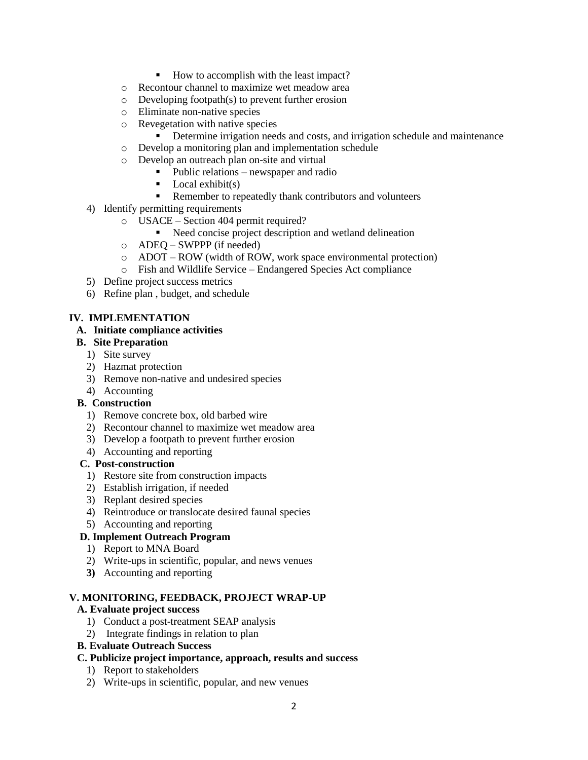- How to accomplish with the least impact?
- o Recontour channel to maximize wet meadow area
- o Developing footpath(s) to prevent further erosion
- o Eliminate non-native species
- o Revegetation with native species
	- Determine irrigation needs and costs, and irrigation schedule and maintenance
- o Develop a monitoring plan and implementation schedule
- o Develop an outreach plan on-site and virtual
	- $\blacksquare$  Public relations newspaper and radio
	- $\blacksquare$  Local exhibit(s)
	- Remember to repeatedly thank contributors and volunteers
- 4) Identify permitting requirements
	- o USACE Section 404 permit required?
		- Need concise project description and wetland delineation
	- o ADEQ SWPPP (if needed)
	- o ADOT ROW (width of ROW, work space environmental protection)
	- o Fish and Wildlife Service Endangered Species Act compliance
- 5) Define project success metrics
- 6) Refine plan , budget, and schedule

# **IV. IMPLEMENTATION**

### **A. Initiate compliance activities**

### **B. Site Preparation**

- 1) Site survey
- 2) Hazmat protection
- 3) Remove non-native and undesired species
- 4) Accounting
- **B. Construction**
	- 1) Remove concrete box, old barbed wire
	- 2) Recontour channel to maximize wet meadow area
	- 3) Develop a footpath to prevent further erosion
	- 4) Accounting and reporting

#### **C. Post-construction**

- 1) Restore site from construction impacts
- 2) Establish irrigation, if needed
- 3) Replant desired species
- 4) Reintroduce or translocate desired faunal species
- 5) Accounting and reporting

# **D. Implement Outreach Program**

- 1) Report to MNA Board
- 2) Write-ups in scientific, popular, and news venues
- **3)** Accounting and reporting

#### **V. MONITORING, FEEDBACK, PROJECT WRAP-UP**

### **A. Evaluate project success**

- 1) Conduct a post-treatment SEAP analysis
- 2) Integrate findings in relation to plan

# **B. Evaluate Outreach Success**

#### **C. Publicize project importance, approach, results and success**

- 1) Report to stakeholders
- 2) Write-ups in scientific, popular, and new venues